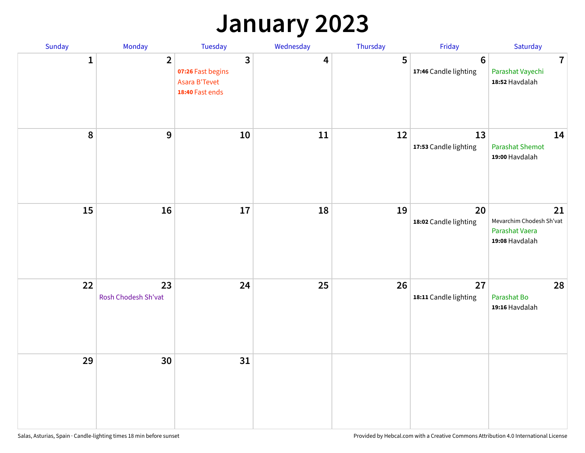## **January 2023**

| Sunday           | Monday                    | Tuesday                                                                                 | Wednesday | Thursday | Friday                                   | Saturday                                                           |
|------------------|---------------------------|-----------------------------------------------------------------------------------------|-----------|----------|------------------------------------------|--------------------------------------------------------------------|
| $\mathbf{1}$     | $\overline{2}$            | $\overline{\mathbf{3}}$<br>07:26 Fast begins<br><b>Asara B'Tevet</b><br>18:40 Fast ends | 4         | 5        | $6\phantom{1}6$<br>17:46 Candle lighting | $\overline{7}$<br>Parashat Vayechi<br>18:52 Havdalah               |
| $\boldsymbol{8}$ | $\mathbf{9}$              | 10                                                                                      | 11        | 12       | 13<br>17:53 Candle lighting              | 14<br><b>Parashat Shemot</b><br>19:00 Havdalah                     |
| 15               | 16                        | 17                                                                                      | 18        | 19       | 20<br>18:02 Candle lighting              | 21<br>Mevarchim Chodesh Sh'vat<br>Parashat Vaera<br>19:08 Havdalah |
| 22               | 23<br>Rosh Chodesh Sh'vat | 24                                                                                      | 25        | 26       | 27<br>18:11 Candle lighting              | 28<br>Parashat Bo<br>19:16 Havdalah                                |
| 29               | 30                        | 31                                                                                      |           |          |                                          |                                                                    |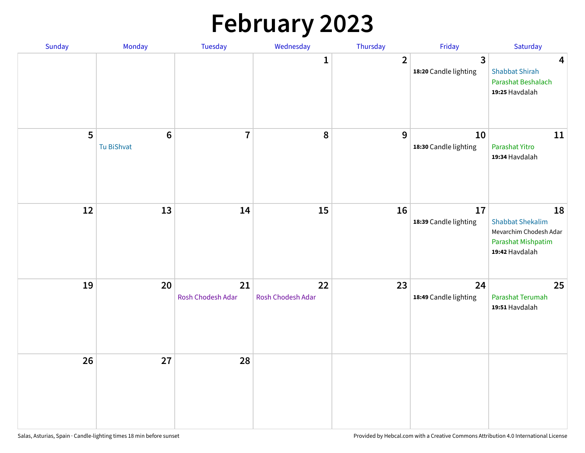# **February 2023**

| Sunday | Monday                        | Tuesday                 | Wednesday               | Thursday       | Friday                                  | Saturday                                                                                        |
|--------|-------------------------------|-------------------------|-------------------------|----------------|-----------------------------------------|-------------------------------------------------------------------------------------------------|
|        |                               |                         | 1                       | $\overline{2}$ | $\overline{3}$<br>18:20 Candle lighting | $\overline{\mathbf{4}}$<br><b>Shabbat Shirah</b><br>Parashat Beshalach<br>19:25 Havdalah        |
| 5      | $6\phantom{1}6$<br>Tu BiShvat | $\overline{7}$          | 8                       | 9              | 10<br>18:30 Candle lighting             | 11<br>Parashat Yitro<br>19:34 Havdalah                                                          |
| 12     | 13                            | 14                      | 15                      | 16             | 17<br>18:39 Candle lighting             | 18<br><b>Shabbat Shekalim</b><br>Mevarchim Chodesh Adar<br>Parashat Mishpatim<br>19:42 Havdalah |
| 19     | 20                            | 21<br>Rosh Chodesh Adar | 22<br>Rosh Chodesh Adar | 23             | 24<br>18:49 Candle lighting             | 25<br>Parashat Terumah<br>19:51 Havdalah                                                        |
| 26     | 27                            | 28                      |                         |                |                                         |                                                                                                 |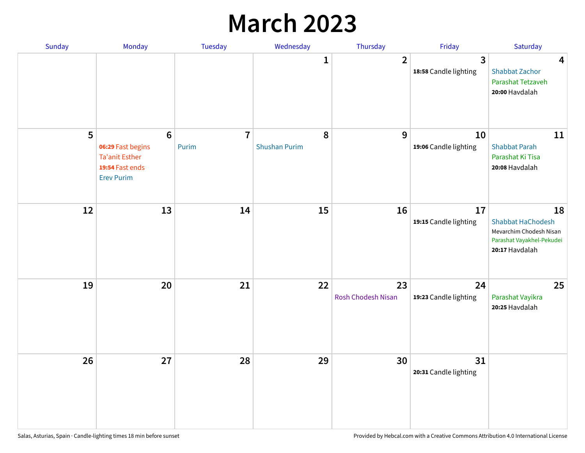## **March 2023**

| Sunday | Monday                                                                                                | Tuesday                 | Wednesday                 | Thursday                 | Friday                      | Saturday                                                                                                 |
|--------|-------------------------------------------------------------------------------------------------------|-------------------------|---------------------------|--------------------------|-----------------------------|----------------------------------------------------------------------------------------------------------|
|        |                                                                                                       |                         | 1                         | $\overline{2}$           | 3<br>18:58 Candle lighting  | $\overline{\mathbf{4}}$<br><b>Shabbat Zachor</b><br>Parashat Tetzaveh<br>20:00 Havdalah                  |
| 5      | $6\phantom{1}6$<br>06:29 Fast begins<br><b>Ta'anit Esther</b><br>19:54 Fast ends<br><b>Erev Purim</b> | $\overline{7}$<br>Purim | 8<br><b>Shushan Purim</b> | 9                        | 10<br>19:06 Candle lighting | 11<br><b>Shabbat Parah</b><br>Parashat Ki Tisa<br>20:08 Havdalah                                         |
| 12     | 13                                                                                                    | 14                      | 15                        | 16                       | 17<br>19:15 Candle lighting | 18<br><b>Shabbat HaChodesh</b><br>Mevarchim Chodesh Nisan<br>Parashat Vayakhel-Pekudei<br>20:17 Havdalah |
| 19     | 20                                                                                                    | 21                      | 22                        | 23<br>Rosh Chodesh Nisan | 24<br>19:23 Candle lighting | 25<br>Parashat Vayikra<br>20:25 Havdalah                                                                 |
| 26     | 27                                                                                                    | 28                      | 29                        | 30                       | 31<br>20:31 Candle lighting |                                                                                                          |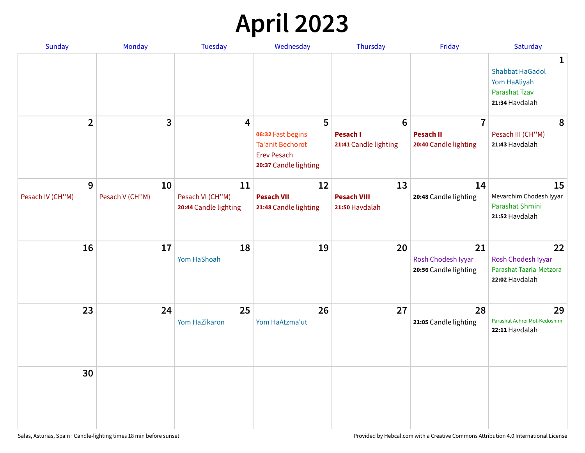# **April 2023**

| Sunday                | <b>Monday</b>         | <b>Tuesday</b>                                  | Wednesday                                                                                   | Thursday                                   | Friday                                            | Saturday                                                                                         |
|-----------------------|-----------------------|-------------------------------------------------|---------------------------------------------------------------------------------------------|--------------------------------------------|---------------------------------------------------|--------------------------------------------------------------------------------------------------|
|                       |                       |                                                 |                                                                                             |                                            |                                                   | $\mathbf{1}$<br><b>Shabbat HaGadol</b><br>Yom HaAliyah<br><b>Parashat Tzav</b><br>21:34 Havdalah |
| $\overline{2}$        | 3                     | 4                                               | 5                                                                                           | $6\phantom{1}$                             | $\overline{7}$                                    | 8                                                                                                |
|                       |                       |                                                 | 06:32 Fast begins<br><b>Ta'anit Bechorot</b><br><b>Erev Pesach</b><br>20:37 Candle lighting | <b>Pesach I</b><br>21:41 Candle lighting   | <b>Pesach II</b><br>20:40 Candle lighting         | Pesach III (CH"M)<br>21:43 Havdalah                                                              |
| 9<br>Pesach IV (CH"M) | 10<br>Pesach V (CH"M) | 11<br>Pesach VI (CH"M)<br>20:44 Candle lighting | 12<br><b>Pesach VII</b><br>21:48 Candle lighting                                            | 13<br><b>Pesach VIII</b><br>21:50 Havdalah | 14<br>20:48 Candle lighting                       | 15<br>Mevarchim Chodesh Iyyar<br>Parashat Shmini<br>21:52 Havdalah                               |
| 16                    | 17                    | 18<br>Yom HaShoah                               | 19                                                                                          | 20                                         | 21<br>Rosh Chodesh Iyyar<br>20:56 Candle lighting | 22<br>Rosh Chodesh Iyyar<br>Parashat Tazria-Metzora<br>22:02 Havdalah                            |
| 23                    | 24                    | 25<br>Yom HaZikaron                             | 26<br>Yom HaAtzma'ut                                                                        | 27                                         | 28<br>21:05 Candle lighting                       | 29<br>Parashat Achrei Mot-Kedoshim<br>22:11 Havdalah                                             |
| 30                    |                       |                                                 |                                                                                             |                                            |                                                   |                                                                                                  |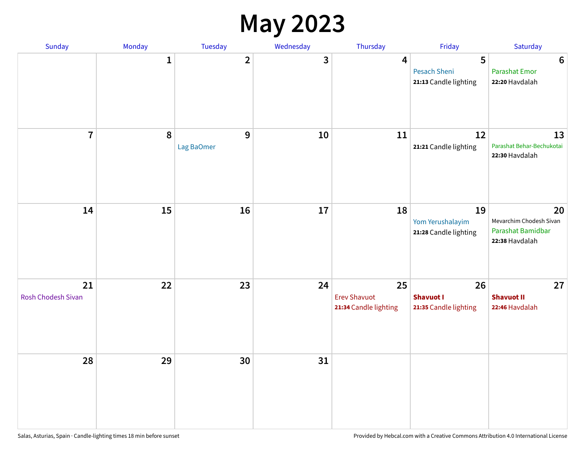#### **May 2023**

| Sunday                   | Monday       | Tuesday                      | Wednesday               | Thursday                                           | Friday                                            | Saturday                                                             |
|--------------------------|--------------|------------------------------|-------------------------|----------------------------------------------------|---------------------------------------------------|----------------------------------------------------------------------|
|                          | $\mathbf{1}$ | $\overline{\mathbf{2}}$      | $\overline{\mathbf{3}}$ | $\overline{\mathbf{4}}$                            | 5<br><b>Pesach Sheni</b><br>21:13 Candle lighting | $\boldsymbol{6}$<br><b>Parashat Emor</b><br>22:20 Havdalah           |
| $\overline{7}$           | $\pmb{8}$    | $\overline{9}$<br>Lag BaOmer | 10                      | 11                                                 | 12<br>21:21 Candle lighting                       | 13<br>Parashat Behar-Bechukotai<br>22:30 Havdalah                    |
| 14                       | 15           | 16                           | $17\,$                  | 18                                                 | 19<br>Yom Yerushalayim<br>21:28 Candle lighting   | 20<br>Mevarchim Chodesh Sivan<br>Parashat Bamidbar<br>22:38 Havdalah |
| 21<br>Rosh Chodesh Sivan | 22           | 23                           | 24                      | 25<br><b>Erev Shavuot</b><br>21:34 Candle lighting | 26<br><b>Shavuot I</b><br>21:35 Candle lighting   | 27<br><b>Shavuot II</b><br>22:46 Havdalah                            |
| 28                       | 29           | 30                           | 31                      |                                                    |                                                   |                                                                      |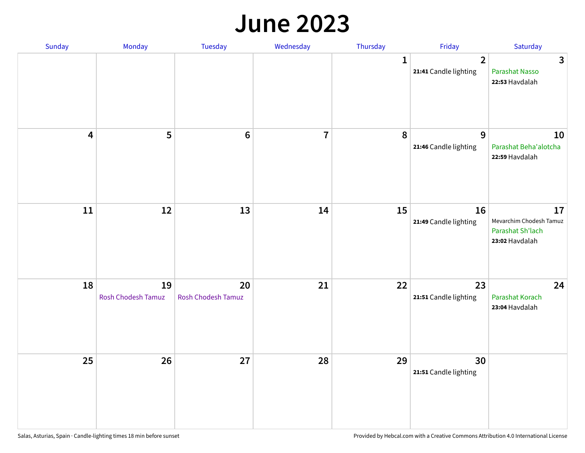#### **June 2023**

| Sunday                  | Monday                   | Tuesday                         | Wednesday      | Thursday | Friday                                  | Saturday                                                            |
|-------------------------|--------------------------|---------------------------------|----------------|----------|-----------------------------------------|---------------------------------------------------------------------|
|                         |                          |                                 |                | 1        | $\overline{2}$<br>21:41 Candle lighting | $\mathbf{3}$<br>Parashat Nasso<br>22:53 Havdalah                    |
| $\overline{\mathbf{4}}$ | 5                        | $6\phantom{1}6$                 | $\overline{7}$ | 8        | $\overline{9}$<br>21:46 Candle lighting | 10<br>Parashat Beha'alotcha<br>22:59 Havdalah                       |
| ${\bf 11}$              | $12\,$                   | 13                              | 14             | 15       | 16<br>21:49 Candle lighting             | 17<br>Mevarchim Chodesh Tamuz<br>Parashat Sh'lach<br>23:02 Havdalah |
| 18                      | 19<br>Rosh Chodesh Tamuz | 20<br><b>Rosh Chodesh Tamuz</b> | 21             | 22       | 23<br>21:51 Candle lighting             | 24<br>Parashat Korach<br>23:04 Havdalah                             |
| 25                      | 26                       | 27                              | 28             | 29       | 30<br>21:51 Candle lighting             |                                                                     |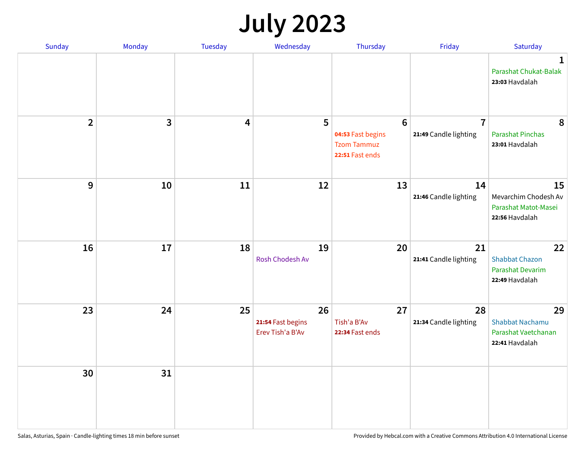# **July 2023**

| Sunday                  | Monday       | <b>Tuesday</b>          | Wednesday                                   | Thursday                                                                      | Friday                                  | Saturday                                                              |
|-------------------------|--------------|-------------------------|---------------------------------------------|-------------------------------------------------------------------------------|-----------------------------------------|-----------------------------------------------------------------------|
|                         |              |                         |                                             |                                                                               |                                         | $\mathbf 1$<br>Parashat Chukat-Balak<br>23:03 Havdalah                |
| $\overline{\mathbf{2}}$ | $\mathbf{3}$ | $\overline{\mathbf{4}}$ | 5                                           | $6\phantom{1}6$<br>04:53 Fast begins<br><b>Tzom Tammuz</b><br>22:51 Fast ends | $\overline{7}$<br>21:49 Candle lighting | 8<br><b>Parashat Pinchas</b><br>23:01 Havdalah                        |
| 9                       | 10           | 11                      | 12                                          | 13                                                                            | 14<br>21:46 Candle lighting             | 15<br>Mevarchim Chodesh Av<br>Parashat Matot-Masei<br>22:56 Havdalah  |
| 16                      | 17           | 18                      | 19<br>Rosh Chodesh Av                       | 20                                                                            | 21<br>21:41 Candle lighting             | 22<br><b>Shabbat Chazon</b><br>Parashat Devarim<br>22:49 Havdalah     |
| 23                      | 24           | 25                      | 26<br>21:54 Fast begins<br>Erev Tish'a B'Av | 27<br>Tish'a B'Av<br>22:34 Fast ends                                          | 28<br>21:34 Candle lighting             | 29<br><b>Shabbat Nachamu</b><br>Parashat Vaetchanan<br>22:41 Havdalah |
| 30                      | 31           |                         |                                             |                                                                               |                                         |                                                                       |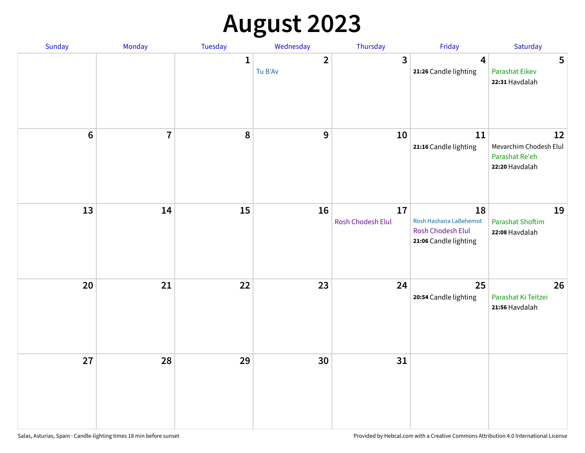# **August 2023**

| Sunday         | Monday         | Tuesday      | Wednesday               | Thursday                | Friday                                                                            | Saturday                                                         |
|----------------|----------------|--------------|-------------------------|-------------------------|-----------------------------------------------------------------------------------|------------------------------------------------------------------|
|                |                | $\mathbf{1}$ | $\mathbf{2}$<br>Tu B'Av | $\overline{\mathbf{3}}$ | $\boldsymbol{4}$<br>21:26 Candle lighting                                         | 5<br><b>Parashat Eikev</b><br>22:31 Havdalah                     |
| $6\phantom{a}$ | $\overline{7}$ | 8            | $\mathbf{9}$            | 10                      | 11<br>21:16 Candle lighting                                                       | 12<br>Mevarchim Chodesh Elul<br>Parashat Re'eh<br>22:20 Havdalah |
| 13             | 14             | 15           | 16                      | 17<br>Rosh Chodesh Elul | 18<br>Rosh Hashana LaBehemot<br><b>Rosh Chodesh Elul</b><br>21:06 Candle lighting | 19<br><b>Parashat Shoftim</b><br>22:08 Havdalah                  |
| $20\,$         | 21             | 22           | 23                      | 24                      | 25<br>20:54 Candle lighting                                                       | 26<br>Parashat Ki Teitzei<br>21:56 Havdalah                      |
| 27             | 28             | 29           | 30                      | 31                      |                                                                                   |                                                                  |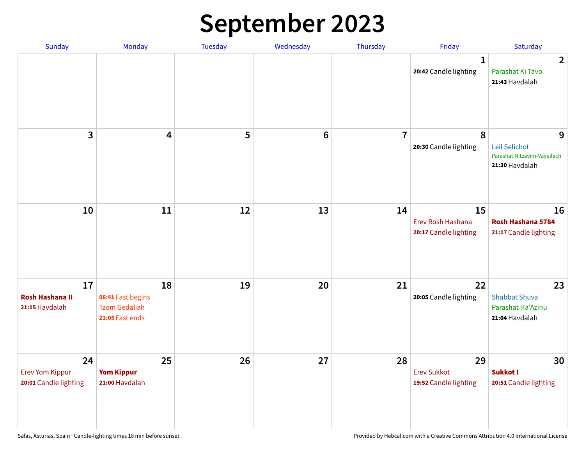# **September 2023**

| Sunday                                                | Monday                                                             | <b>Tuesday</b> | Wednesday       | Thursday       | Friday                                            | Saturday                                                            |
|-------------------------------------------------------|--------------------------------------------------------------------|----------------|-----------------|----------------|---------------------------------------------------|---------------------------------------------------------------------|
|                                                       |                                                                    |                |                 |                | 1<br>20:42 Candle lighting                        | $\overline{2}$<br>Parashat Ki Tavo<br>21:43 Havdalah                |
| 3                                                     | $\overline{\mathbf{4}}$                                            | 5              | $6\phantom{1}6$ | $\overline{7}$ | 8<br>20:30 Candle lighting                        | 9<br>Leil Selichot<br>Parashat Nitzavim-Vayeilech<br>21:30 Havdalah |
| 10                                                    | 11                                                                 | 12             | 13              | 14             | 15<br>Erev Rosh Hashana<br>20:17 Candle lighting  | 16<br>Rosh Hashana 5784<br>21:17 Candle lighting                    |
| 17<br><b>Rosh Hashana II</b><br>21:15 Havdalah        | 18<br>06:41 Fast begins<br><b>Tzom Gedaliah</b><br>21:05 Fast ends | 19             | 20              | 21             | 22<br>20:05 Candle lighting                       | 23<br><b>Shabbat Shuva</b><br>Parashat Ha'Azinu<br>21:04 Havdalah   |
| 24<br><b>Erev Yom Kippur</b><br>20:01 Candle lighting | 25<br><b>Yom Kippur</b><br>21:00 Havdalah                          | 26             | 27              | 28             | 29<br><b>Erev Sukkot</b><br>19:52 Candle lighting | 30<br>Sukkot I<br>20:51 Candle lighting                             |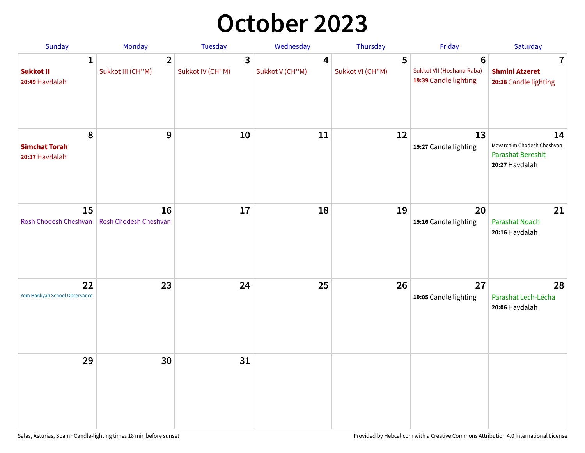## **October 2023**

| Sunday                                             | <b>Monday</b>                       | <b>Tuesday</b>        | Wednesday            | Thursday              | Friday                                                               | Saturday                                                                       |
|----------------------------------------------------|-------------------------------------|-----------------------|----------------------|-----------------------|----------------------------------------------------------------------|--------------------------------------------------------------------------------|
| $\mathbf{1}$<br><b>Sukkot II</b><br>20:49 Havdalah | $\overline{2}$<br>Sukkot III (CH"M) | 3<br>Sukkot IV (CH"M) | 4<br>Sukkot V (CH"M) | 5<br>Sukkot VI (CH"M) | $6\phantom{1}$<br>Sukkot VII (Hoshana Raba)<br>19:39 Candle lighting | 7<br><b>Shmini Atzeret</b><br>20:38 Candle lighting                            |
| 8<br><b>Simchat Torah</b><br>20:37 Havdalah        | $\boldsymbol{9}$                    | 10                    | 11                   | 12                    | 13<br>19:27 Candle lighting                                          | 14<br>Mevarchim Chodesh Cheshvan<br><b>Parashat Bereshit</b><br>20:27 Havdalah |
| 15<br>Rosh Chodesh Cheshvan                        | 16<br>Rosh Chodesh Cheshvan         | 17                    | 18                   | 19                    | 20<br>19:16 Candle lighting                                          | 21<br>Parashat Noach<br>20:16 Havdalah                                         |
| 22<br>Yom HaAliyah School Observance               | 23                                  | 24                    | 25                   | 26                    | 27<br>19:05 Candle lighting                                          | 28<br>Parashat Lech-Lecha<br>20:06 Havdalah                                    |
| 29                                                 | 30                                  | 31                    |                      |                       |                                                                      |                                                                                |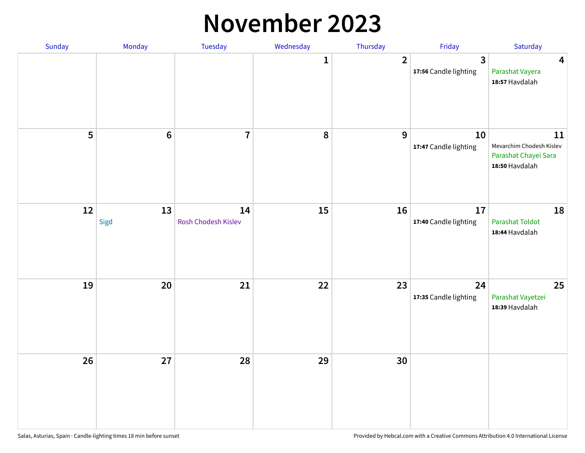#### **November 2023**

| Sunday | Monday         | Tuesday                   | Wednesday    | Thursday         | Friday                                  | Saturday                                                                 |
|--------|----------------|---------------------------|--------------|------------------|-----------------------------------------|--------------------------------------------------------------------------|
|        |                |                           | $\mathbf{1}$ | $\overline{2}$   | $\overline{3}$<br>17:56 Candle lighting | $\overline{\mathbf{4}}$<br>Parashat Vayera<br>18:57 Havdalah             |
| 5      | $6\phantom{a}$ | $\overline{7}$            | ${\bf 8}$    | $\boldsymbol{9}$ | 10<br>17:47 Candle lighting             | 11<br>Mevarchim Chodesh Kislev<br>Parashat Chayei Sara<br>18:50 Havdalah |
| 12     | 13<br>Sigd     | 14<br>Rosh Chodesh Kislev | 15           | 16               | 17<br>17:40 Candle lighting             | 18<br><b>Parashat Toldot</b><br>18:44 Havdalah                           |
| 19     | 20             | 21                        | 22           | 23               | 24<br>17:35 Candle lighting             | 25<br>Parashat Vayetzei<br>18:39 Havdalah                                |
| 26     | 27             | 28                        | 29           | 30               |                                         |                                                                          |